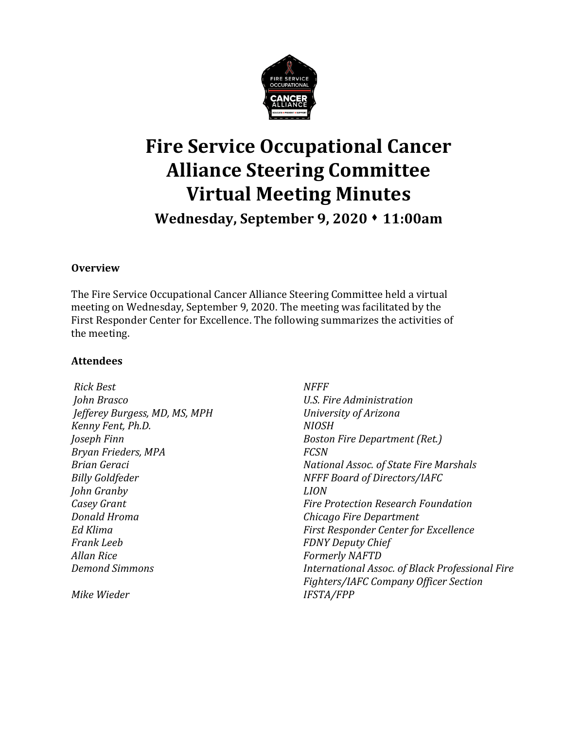

# **Fire Service Occupational Cancer Alliance Steering Committee Virtual Meeting Minutes**

**Wednesday, September 9, 2020** ⬧ **11:00am**

#### **Overview**

The Fire Service Occupational Cancer Alliance Steering Committee held a virtual meeting on Wednesday, September 9, 2020. The meeting was facilitated by the First Responder Center for Excellence. The following summarizes the activities of the meeting.

#### **Attendees**

| <b>Rick Best</b>              | <b>NFFF</b>                                     |  |  |  |  |  |  |
|-------------------------------|-------------------------------------------------|--|--|--|--|--|--|
| John Brasco                   | U.S. Fire Administration                        |  |  |  |  |  |  |
| Jefferey Burgess, MD, MS, MPH | University of Arizona                           |  |  |  |  |  |  |
| Kenny Fent, Ph.D.             | <b>NIOSH</b>                                    |  |  |  |  |  |  |
| Joseph Finn                   | <b>Boston Fire Department (Ret.)</b>            |  |  |  |  |  |  |
| Bryan Frieders, MPA           | <b>FCSN</b>                                     |  |  |  |  |  |  |
| <b>Brian Geraci</b>           | National Assoc. of State Fire Marshals          |  |  |  |  |  |  |
| <b>Billy Goldfeder</b>        | NFFF Board of Directors/IAFC                    |  |  |  |  |  |  |
| John Granby                   | <i>LION</i>                                     |  |  |  |  |  |  |
| Casey Grant                   | <b>Fire Protection Research Foundation</b>      |  |  |  |  |  |  |
| Donald Hroma                  | Chicago Fire Department                         |  |  |  |  |  |  |
| Ed Klima                      | First Responder Center for Excellence           |  |  |  |  |  |  |
| <b>Frank Leeb</b>             | <b>FDNY Deputy Chief</b>                        |  |  |  |  |  |  |
| <b>Allan Rice</b>             | <b>Formerly NAFTD</b>                           |  |  |  |  |  |  |
| <b>Demond Simmons</b>         | International Assoc. of Black Professional Fire |  |  |  |  |  |  |
|                               | Fighters/IAFC Company Officer Section           |  |  |  |  |  |  |
| Mike Wieder                   | <b>IFSTA/FPP</b>                                |  |  |  |  |  |  |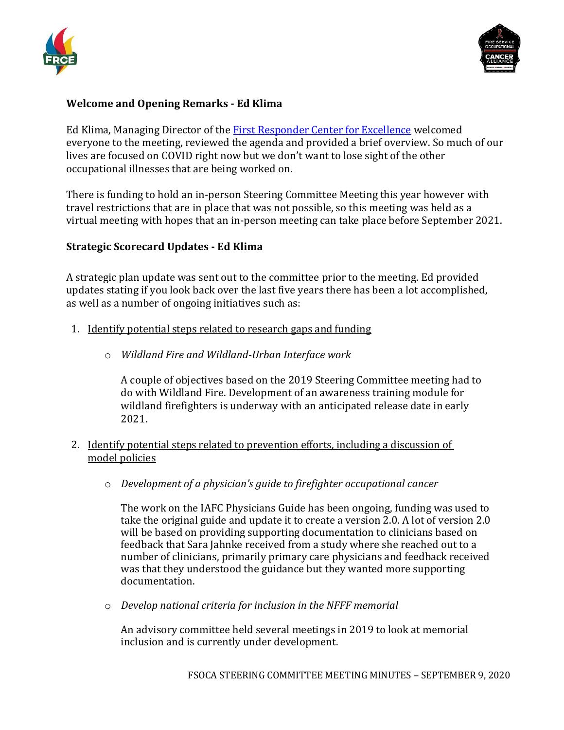



#### **Welcome and Opening Remarks - Ed Klima**

Ed Klima, Managing Director of the [First Responder Center for Excellence](https://www.firstrespondercenter.org/cancer/) welcomed everyone to the meeting, reviewed the agenda and provided a brief overview. So much of our lives are focused on COVID right now but we don't want to lose sight of the other occupational illnesses that are being worked on.

There is funding to hold an in-person Steering Committee Meeting this year however with travel restrictions that are in place that was not possible, so this meeting was held as a virtual meeting with hopes that an in-person meeting can take place before September 2021.

#### **Strategic Scorecard Updates - Ed Klima**

A strategic plan update was sent out to the committee prior to the meeting. Ed provided updates stating if you look back over the last five years there has been a lot accomplished, as well as a number of ongoing initiatives such as:

- 1. Identify potential steps related to research gaps and funding
	- o *Wildland Fire and Wildland-Urban Interface work*

A couple of objectives based on the 2019 Steering Committee meeting had to do with Wildland Fire. Development of an awareness training module for wildland firefighters is underway with an anticipated release date in early 2021.

- 2. Identify potential steps related to prevention efforts, including a discussion of model policies
	- o *Development of a physician's guide to firefighter occupational cancer*

The work on the IAFC Physicians Guide has been ongoing, funding was used to take the original guide and update it to create a version 2.0. A lot of version 2.0 will be based on providing supporting documentation to clinicians based on feedback that Sara Jahnke received from a study where she reached out to a number of clinicians, primarily primary care physicians and feedback received was that they understood the guidance but they wanted more supporting documentation.

o *Develop national criteria for inclusion in the NFFF memorial*

An advisory committee held several meetings in 2019 to look at memorial inclusion and is currently under development.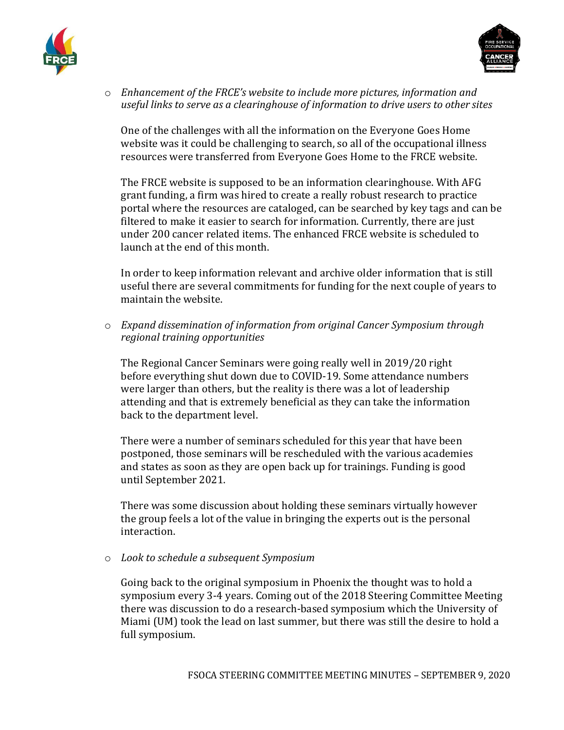



o *Enhancement of the FRCE's website to include more pictures, information and useful links to serve as a clearinghouse of information to drive users to other sites*

One of the challenges with all the information on the Everyone Goes Home website was it could be challenging to search, so all of the occupational illness resources were transferred from Everyone Goes Home to the FRCE website.

The FRCE website is supposed to be an information clearinghouse. With AFG grant funding, a firm was hired to create a really robust research to practice portal where the resources are cataloged, can be searched by key tags and can be filtered to make it easier to search for information. Currently, there are just under 200 cancer related items. The enhanced FRCE website is scheduled to launch at the end of this month.

In order to keep information relevant and archive older information that is still useful there are several commitments for funding for the next couple of years to maintain the website.

o *Expand dissemination of information from original Cancer Symposium through regional training opportunities*

The Regional Cancer Seminars were going really well in 2019/20 right before everything shut down due to COVID-19. Some attendance numbers were larger than others, but the reality is there was a lot of leadership attending and that is extremely beneficial as they can take the information back to the department level.

There were a number of seminars scheduled for this year that have been postponed, those seminars will be rescheduled with the various academies and states as soon as they are open back up for trainings. Funding is good until September 2021.

There was some discussion about holding these seminars virtually however the group feels a lot of the value in bringing the experts out is the personal interaction.

#### o *Look to schedule a subsequent Symposium*

Going back to the original symposium in Phoenix the thought was to hold a symposium every 3-4 years. Coming out of the 2018 Steering Committee Meeting there was discussion to do a research-based symposium which the University of Miami (UM) took the lead on last summer, but there was still the desire to hold a full symposium.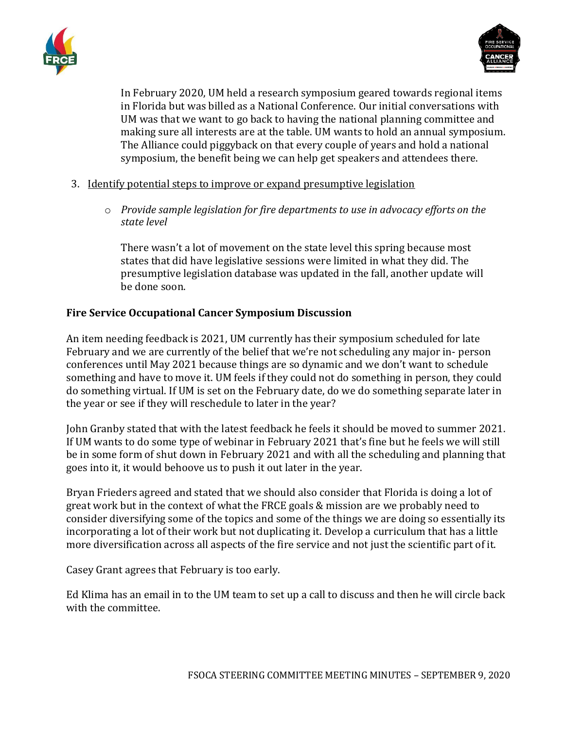



In February 2020, UM held a research symposium geared towards regional items in Florida but was billed as a National Conference. Our initial conversations with UM was that we want to go back to having the national planning committee and making sure all interests are at the table. UM wants to hold an annual symposium. The Alliance could piggyback on that every couple of years and hold a national symposium, the benefit being we can help get speakers and attendees there.

#### 3. Identify potential steps to improve or expand presumptive legislation

o *Provide sample legislation for fire departments to use in advocacy efforts on the state level*

There wasn't a lot of movement on the state level this spring because most states that did have legislative sessions were limited in what they did. The presumptive legislation database was updated in the fall, another update will be done soon.

#### **Fire Service Occupational Cancer Symposium Discussion**

An item needing feedback is 2021, UM currently has their symposium scheduled for late February and we are currently of the belief that we're not scheduling any major in- person conferences until May 2021 because things are so dynamic and we don't want to schedule something and have to move it. UM feels if they could not do something in person, they could do something virtual. If UM is set on the February date, do we do something separate later in the year or see if they will reschedule to later in the year?

John Granby stated that with the latest feedback he feels it should be moved to summer 2021. If UM wants to do some type of webinar in February 2021 that's fine but he feels we will still be in some form of shut down in February 2021 and with all the scheduling and planning that goes into it, it would behoove us to push it out later in the year.

Bryan Frieders agreed and stated that we should also consider that Florida is doing a lot of great work but in the context of what the FRCE goals & mission are we probably need to consider diversifying some of the topics and some of the things we are doing so essentially its incorporating a lot of their work but not duplicating it. Develop a curriculum that has a little more diversification across all aspects of the fire service and not just the scientific part of it.

Casey Grant agrees that February is too early.

Ed Klima has an email in to the UM team to set up a call to discuss and then he will circle back with the committee.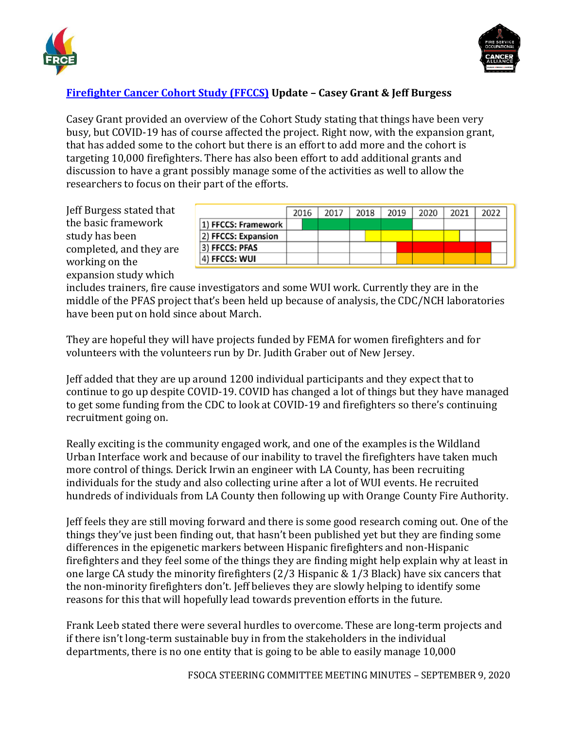



# **[Firefighter Cancer Cohort Study \(FFCCS\)](https://www.ffccs.org/) Update – Casey Grant & Jeff Burgess**

Casey Grant provided an overview of the Cohort Study stating that things have been very busy, but COVID-19 has of course affected the project. Right now, with the expansion grant, that has added some to the cohort but there is an effort to add more and the cohort is targeting 10,000 firefighters. There has also been effort to add additional grants and discussion to have a grant possibly manage some of the activities as well to allow the researchers to focus on their part of the efforts.

Jeff Burgess stated that the basic framework study has been completed, and they are working on the expansion study which

|                     | 2016 | 2017 | 2018 | 2019 | 2020 | 2021 | 2022 |
|---------------------|------|------|------|------|------|------|------|
| 1) FFCCS: Framework |      |      |      |      |      |      |      |
| 2) FFCCS: Expansion |      |      |      |      |      |      |      |
| 3) FFCCS: PFAS      |      |      |      |      |      |      |      |
| 4) FFCCS: WUI       |      |      |      |      |      |      |      |

includes trainers, fire cause investigators and some WUI work. Currently they are in the middle of the PFAS project that's been held up because of analysis, the CDC/NCH laboratories have been put on hold since about March.

They are hopeful they will have projects funded by FEMA for women firefighters and for volunteers with the volunteers run by Dr. Judith Graber out of New Jersey.

Jeff added that they are up around 1200 individual participants and they expect that to continue to go up despite COVID-19. COVID has changed a lot of things but they have managed to get some funding from the CDC to look at COVID-19 and firefighters so there's continuing recruitment going on.

Really exciting is the community engaged work, and one of the examples is the Wildland Urban Interface work and because of our inability to travel the firefighters have taken much more control of things. Derick Irwin an engineer with LA County, has been recruiting individuals for the study and also collecting urine after a lot of WUI events. He recruited hundreds of individuals from LA County then following up with Orange County Fire Authority.

Jeff feels they are still moving forward and there is some good research coming out. One of the things they've just been finding out, that hasn't been published yet but they are finding some differences in the epigenetic markers between Hispanic firefighters and non-Hispanic firefighters and they feel some of the things they are finding might help explain why at least in one large CA study the minority firefighters (2/3 Hispanic & 1/3 Black) have six cancers that the non-minority firefighters don't. Jeff believes they are slowly helping to identify some reasons for this that will hopefully lead towards prevention efforts in the future.

Frank Leeb stated there were several hurdles to overcome. These are long-term projects and if there isn't long-term sustainable buy in from the stakeholders in the individual departments, there is no one entity that is going to be able to easily manage 10,000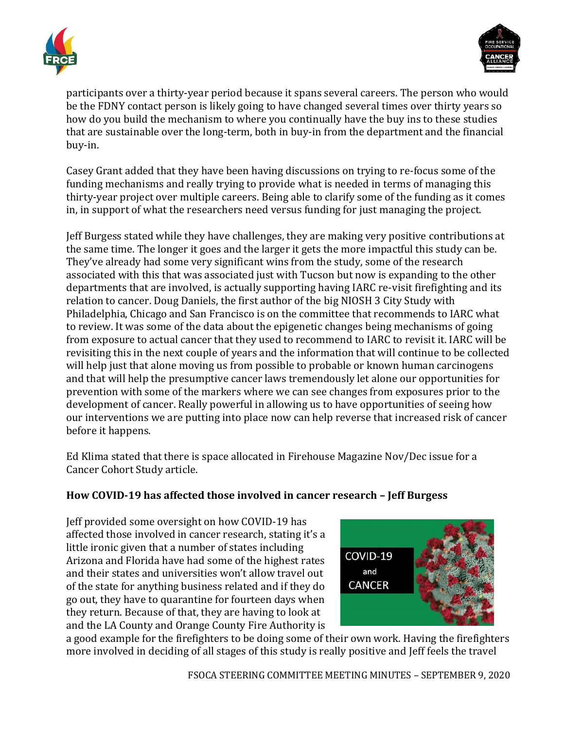



participants over a thirty-year period because it spans several careers. The person who would be the FDNY contact person is likely going to have changed several times over thirty years so how do you build the mechanism to where you continually have the buy ins to these studies that are sustainable over the long-term, both in buy-in from the department and the financial buy-in.

Casey Grant added that they have been having discussions on trying to re-focus some of the funding mechanisms and really trying to provide what is needed in terms of managing this thirty-year project over multiple careers. Being able to clarify some of the funding as it comes in, in support of what the researchers need versus funding for just managing the project.

Jeff Burgess stated while they have challenges, they are making very positive contributions at the same time. The longer it goes and the larger it gets the more impactful this study can be. They've already had some very significant wins from the study, some of the research associated with this that was associated just with Tucson but now is expanding to the other departments that are involved, is actually supporting having IARC re-visit firefighting and its relation to cancer. Doug Daniels, the first author of the big NIOSH 3 City Study with Philadelphia, Chicago and San Francisco is on the committee that recommends to IARC what to review. It was some of the data about the epigenetic changes being mechanisms of going from exposure to actual cancer that they used to recommend to IARC to revisit it. IARC will be revisiting this in the next couple of years and the information that will continue to be collected will help just that alone moving us from possible to probable or known human carcinogens and that will help the presumptive cancer laws tremendously let alone our opportunities for prevention with some of the markers where we can see changes from exposures prior to the development of cancer. Really powerful in allowing us to have opportunities of seeing how our interventions we are putting into place now can help reverse that increased risk of cancer before it happens.

Ed Klima stated that there is space allocated in Firehouse Magazine Nov/Dec issue for a Cancer Cohort Study article.

## **How COVID-19 has affected those involved in cancer research – Jeff Burgess**

Jeff provided some oversight on how COVID-19 has affected those involved in cancer research, stating it's a little ironic given that a number of states including Arizona and Florida have had some of the highest rates and their states and universities won't allow travel out of the state for anything business related and if they do go out, they have to quarantine for fourteen days when they return. Because of that, they are having to look at and the LA County and Orange County Fire Authority is



a good example for the firefighters to be doing some of their own work. Having the firefighters more involved in deciding of all stages of this study is really positive and Jeff feels the travel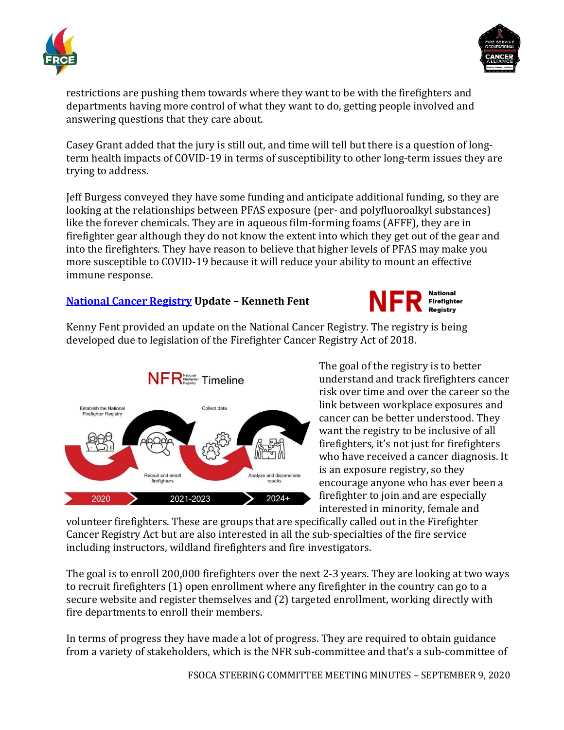



restrictions are pushing them towards where they want to be with the firefighters and departments having more control of what they want to do, getting people involved and answering questions that they care about.

Casey Grant added that the jury is still out, and time will tell but there is a question of longterm health impacts of COVID-19 in terms of susceptibility to other long-term issues they are trying to address.

Jeff Burgess conveyed they have some funding and anticipate additional funding, so they are looking at the relationships between PFAS exposure (per- and polyfluoroalkyl substances) like the forever chemicals. They are in aqueous film-forming foams (AFFF), they are in firefighter gear although they do not know the extent into which they get out of the gear and into the firefighters. They have reason to believe that higher levels of PFAS may make you more susceptible to COVID-19 because it will reduce your ability to mount an effective immune response.

#### **[National Cancer Registry](https://www.cdc.gov/niosh/firefighters/registry.html) Update – Kenneth Fent**



Kenny Fent provided an update on the National Cancer Registry. The registry is being developed due to legislation of the Firefighter Cancer Registry Act of 2018.



The goal of the registry is to better understand and track firefighters cancer risk over time and over the career so the link between workplace exposures and cancer can be better understood. They want the registry to be inclusive of all firefighters, it's not just for firefighters who have received a cancer diagnosis. It is an exposure registry, so they encourage anyone who has ever been a firefighter to join and are especially interested in minority, female and

volunteer firefighters. These are groups that are specifically called out in the Firefighter Cancer Registry Act but are also interested in all the sub-specialties of the fire service including instructors, wildland firefighters and fire investigators.

The goal is to enroll 200,000 firefighters over the next 2-3 years. They are looking at two ways to recruit firefighters (1) open enrollment where any firefighter in the country can go to a secure website and register themselves and (2) targeted enrollment, working directly with fire departments to enroll their members.

In terms of progress they have made a lot of progress. They are required to obtain guidance from a variety of stakeholders, which is the NFR sub-committee and that's a sub-committee of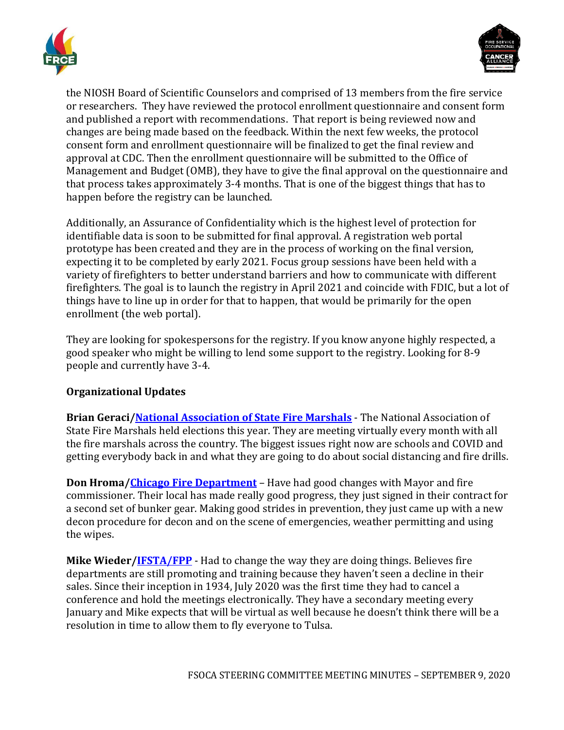



the NIOSH Board of Scientific Counselors and comprised of 13 members from the fire service or researchers. They have reviewed the protocol enrollment questionnaire and consent form and published a report with recommendations. That report is being reviewed now and changes are being made based on the feedback. Within the next few weeks, the protocol consent form and enrollment questionnaire will be finalized to get the final review and approval at CDC. Then the enrollment questionnaire will be submitted to the Office of Management and Budget (OMB), they have to give the final approval on the questionnaire and that process takes approximately 3-4 months. That is one of the biggest things that has to happen before the registry can be launched.

Additionally, an Assurance of Confidentiality which is the highest level of protection for identifiable data is soon to be submitted for final approval. A registration web portal prototype has been created and they are in the process of working on the final version, expecting it to be completed by early 2021. Focus group sessions have been held with a variety of firefighters to better understand barriers and how to communicate with different firefighters. The goal is to launch the registry in April 2021 and coincide with FDIC, but a lot of things have to line up in order for that to happen, that would be primarily for the open enrollment (the web portal).

They are looking for spokespersons for the registry. If you know anyone highly respected, a good speaker who might be willing to lend some support to the registry. Looking for 8-9 people and currently have 3-4.

## **Organizational Updates**

**Brian Geraci[/National Association of State Fire Marshals](http://www.firemarshals.org/)** - The National Association of State Fire Marshals held elections this year. They are meeting virtually every month with all the fire marshals across the country. The biggest issues right now are schools and COVID and getting everybody back in and what they are going to do about social distancing and fire drills.

**Don Hroma[/Chicago Fire Department](https://www.chicago.gov/city/en/depts/cfd.html)** – Have had good changes with Mayor and fire commissioner. Their local has made really good progress, they just signed in their contract for a second set of bunker gear. Making good strides in prevention, they just came up with a new decon procedure for decon and on the scene of emergencies, weather permitting and using the wipes.

**Mike Wieder[/IFSTA/FPP](https://www.ifsta.org/about-us/ifsta-fpp-organizational-relationship)** - Had to change the way they are doing things. Believes fire departments are still promoting and training because they haven't seen a decline in their sales. Since their inception in 1934, July 2020 was the first time they had to cancel a conference and hold the meetings electronically. They have a secondary meeting every January and Mike expects that will be virtual as well because he doesn't think there will be a resolution in time to allow them to fly everyone to Tulsa.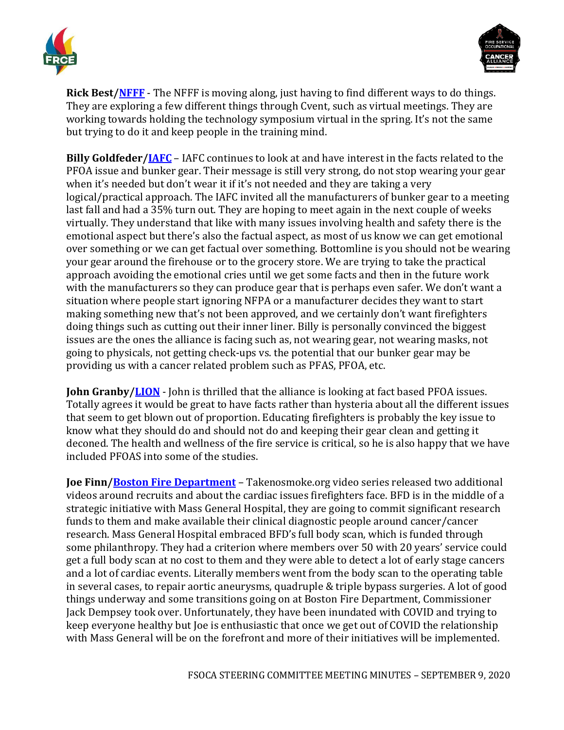



**Rick Best[/NFFF](https://www.everyonegoeshome.com/)** - The NFFF is moving along, just having to find different ways to do things. They are exploring a few different things through Cvent, such as virtual meetings. They are working towards holding the technology symposium virtual in the spring. It's not the same but trying to do it and keep people in the training mind.

**Billy Goldfeder[/IAFC](https://www.iafc.org/)** – IAFC continues to look at and have interest in the facts related to the PFOA issue and bunker gear. Their message is still very strong, do not stop wearing your gear when it's needed but don't wear it if it's not needed and they are taking a very logical/practical approach. The IAFC invited all the manufacturers of bunker gear to a meeting last fall and had a 35% turn out. They are hoping to meet again in the next couple of weeks virtually. They understand that like with many issues involving health and safety there is the emotional aspect but there's also the factual aspect, as most of us know we can get emotional over something or we can get factual over something. Bottomline is you should not be wearing your gear around the firehouse or to the grocery store. We are trying to take the practical approach avoiding the emotional cries until we get some facts and then in the future work with the manufacturers so they can produce gear that is perhaps even safer. We don't want a situation where people start ignoring NFPA or a manufacturer decides they want to start making something new that's not been approved, and we certainly don't want firefighters doing things such as cutting out their inner liner. Billy is personally convinced the biggest issues are the ones the alliance is facing such as, not wearing gear, not wearing masks, not going to physicals, not getting check-ups vs. the potential that our bunker gear may be providing us with a cancer related problem such as PFAS, PFOA, etc.

**John Granby[/LION](https://www.lionprotects.com/)** - John is thrilled that the alliance is looking at fact based PFOA issues. Totally agrees it would be great to have facts rather than hysteria about all the different issues that seem to get blown out of proportion. Educating firefighters is probably the key issue to know what they should do and should not do and keeping their gear clean and getting it deconed. The health and wellness of the fire service is critical, so he is also happy that we have included PFOAS into some of the studies.

**Joe Finn[/Boston Fire Department](https://www.boston.gov/departments/fire-operations)** – Takenosmoke.org video series released two additional videos around recruits and about the cardiac issues firefighters face. BFD is in the middle of a strategic initiative with Mass General Hospital, they are going to commit significant research funds to them and make available their clinical diagnostic people around cancer/cancer research. Mass General Hospital embraced BFD's full body scan, which is funded through some philanthropy. They had a criterion where members over 50 with 20 years' service could get a full body scan at no cost to them and they were able to detect a lot of early stage cancers and a lot of cardiac events. Literally members went from the body scan to the operating table in several cases, to repair aortic aneurysms, quadruple & triple bypass surgeries. A lot of good things underway and some transitions going on at Boston Fire Department, Commissioner Jack Dempsey took over. Unfortunately, they have been inundated with COVID and trying to keep everyone healthy but Joe is enthusiastic that once we get out of COVID the relationship with Mass General will be on the forefront and more of their initiatives will be implemented.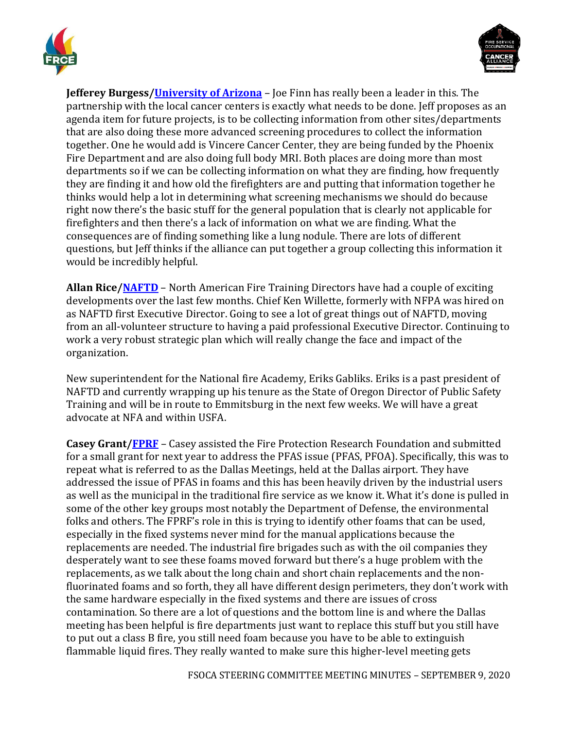



**Jefferey Burgess[/University of Arizona](https://azprc.arizona.edu/)** – Joe Finn has really been a leader in this. The partnership with the local cancer centers is exactly what needs to be done. Jeff proposes as an agenda item for future projects, is to be collecting information from other sites/departments that are also doing these more advanced screening procedures to collect the information together. One he would add is Vincere Cancer Center, they are being funded by the Phoenix Fire Department and are also doing full body MRI. Both places are doing more than most departments so if we can be collecting information on what they are finding, how frequently they are finding it and how old the firefighters are and putting that information together he thinks would help a lot in determining what screening mechanisms we should do because right now there's the basic stuff for the general population that is clearly not applicable for firefighters and then there's a lack of information on what we are finding. What the consequences are of finding something like a lung nodule. There are lots of different questions, but Jeff thinks if the alliance can put together a group collecting this information it would be incredibly helpful.

**Allan Rice[/NAFTD](https://naftd.org/)** – North American Fire Training Directors have had a couple of exciting developments over the last few months. Chief Ken Willette, formerly with NFPA was hired on as NAFTD first Executive Director. Going to see a lot of great things out of NAFTD, moving from an all-volunteer structure to having a paid professional Executive Director. Continuing to work a very robust strategic plan which will really change the face and impact of the organization.

New superintendent for the National fire Academy, Eriks Gabliks. Eriks is a past president of NAFTD and currently wrapping up his tenure as the State of Oregon Director of Public Safety Training and will be in route to Emmitsburg in the next few weeks. We will have a great advocate at NFA and within USFA.

**Casey Grant[/FPRF](https://www.nfpa.org/News-and-Research/Resources/Fire-Protection-Research-Foundation)** – Casey assisted the Fire Protection Research Foundation and submitted for a small grant for next year to address the PFAS issue (PFAS, PFOA). Specifically, this was to repeat what is referred to as the Dallas Meetings, held at the Dallas airport. They have addressed the issue of PFAS in foams and this has been heavily driven by the industrial users as well as the municipal in the traditional fire service as we know it. What it's done is pulled in some of the other key groups most notably the Department of Defense, the environmental folks and others. The FPRF's role in this is trying to identify other foams that can be used, especially in the fixed systems never mind for the manual applications because the replacements are needed. The industrial fire brigades such as with the oil companies they desperately want to see these foams moved forward but there's a huge problem with the replacements, as we talk about the long chain and short chain replacements and the nonfluorinated foams and so forth, they all have different design perimeters, they don't work with the same hardware especially in the fixed systems and there are issues of cross contamination. So there are a lot of questions and the bottom line is and where the Dallas meeting has been helpful is fire departments just want to replace this stuff but you still have to put out a class B fire, you still need foam because you have to be able to extinguish flammable liquid fires. They really wanted to make sure this higher-level meeting gets